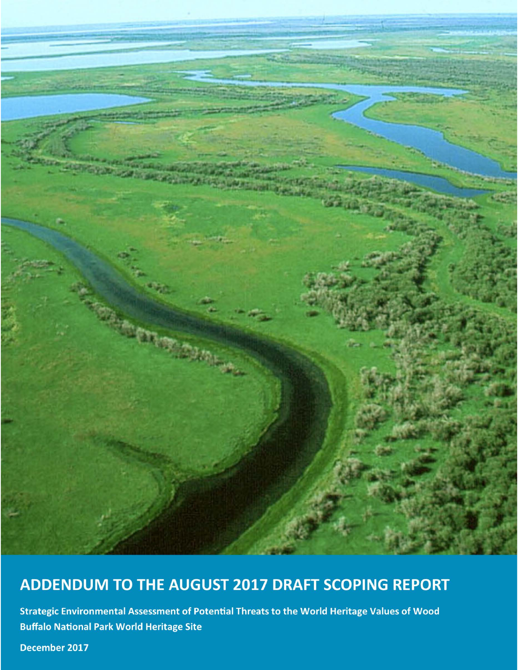

# ADDENDUM TO THE AUGUST 2017 DRAFT SCOPING REPORT

Strategic Environmental Assessment of Potential Threats to the World Heritage Values of Wood **Buffalo National Park World Heritage Site** 

December 2017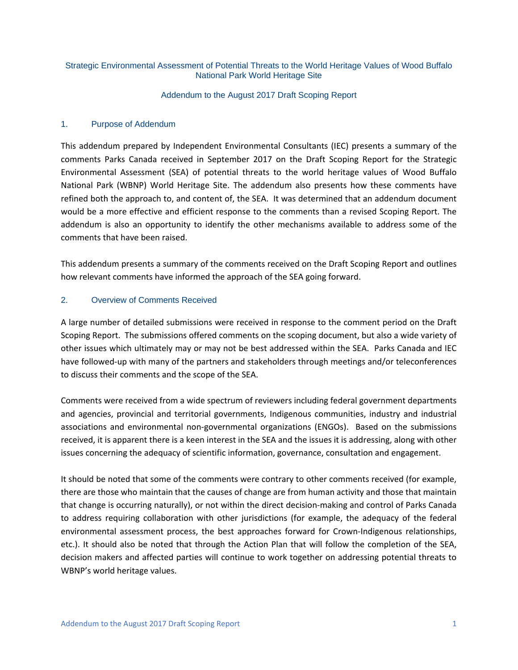#### Strategic Environmental Assessment of Potential Threats to the World Heritage Values of Wood Buffalo National Park World Heritage Site

#### Addendum to the August 2017 Draft Scoping Report

#### 1. Purpose of Addendum

This addendum prepared by Independent Environmental Consultants (IEC) presents a summary of the comments Parks Canada received in September 2017 on the Draft Scoping Report for the Strategic Environmental Assessment (SEA) of potential threats to the world heritage values of Wood Buffalo National Park (WBNP) World Heritage Site. The addendum also presents how these comments have refined both the approach to, and content of, the SEA. It was determined that an addendum document would be a more effective and efficient response to the comments than a revised Scoping Report. The addendum is also an opportunity to identify the other mechanisms available to address some of the comments that have been raised.

This addendum presents a summary of the comments received on the Draft Scoping Report and outlines how relevant comments have informed the approach of the SEA going forward.

#### 2. Overview of Comments Received

A large number of detailed submissions were received in response to the comment period on the Draft Scoping Report. The submissions offered comments on the scoping document, but also a wide variety of other issues which ultimately may or may not be best addressed within the SEA. Parks Canada and IEC have followed-up with many of the partners and stakeholders through meetings and/or teleconferences to discuss their comments and the scope of the SEA.

Comments were received from a wide spectrum of reviewers including federal government departments and agencies, provincial and territorial governments, Indigenous communities, industry and industrial associations and environmental non-governmental organizations (ENGOs). Based on the submissions received, it is apparent there is a keen interest in the SEA and the issues it is addressing, along with other issues concerning the adequacy of scientific information, governance, consultation and engagement.

It should be noted that some of the comments were contrary to other comments received (for example, there are those who maintain that the causes of change are from human activity and those that maintain that change is occurring naturally), or not within the direct decision-making and control of Parks Canada to address requiring collaboration with other jurisdictions (for example, the adequacy of the federal environmental assessment process, the best approaches forward for Crown-Indigenous relationships, etc.). It should also be noted that through the Action Plan that will follow the completion of the SEA, decision makers and affected parties will continue to work together on addressing potential threats to WBNP's world heritage values.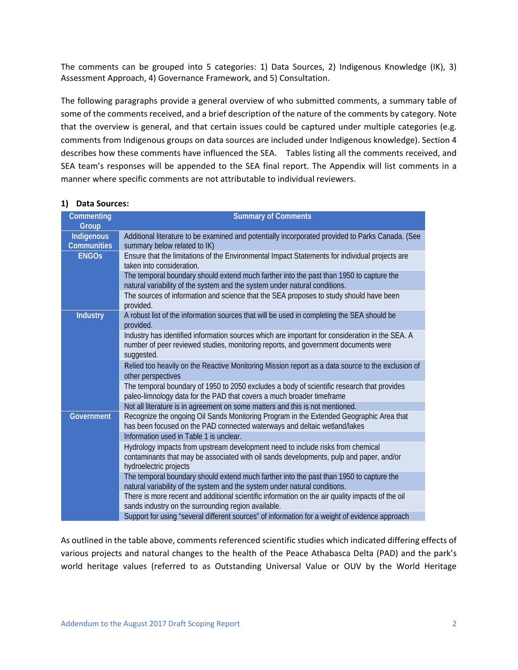The comments can be grouped into 5 categories: 1) Data Sources, 2) Indigenous Knowledge (IK), 3) Assessment Approach, 4) Governance Framework, and 5) Consultation.

The following paragraphs provide a general overview of who submitted comments, a summary table of some of the comments received, and a brief description of the nature of the comments by category. Note that the overview is general, and that certain issues could be captured under multiple categories (e.g. comments from Indigenous groups on data sources are included under Indigenous knowledge). Section 4 describes how these comments have influenced the SEA. Tables listing all the comments received, and SEA team's responses will be appended to the SEA final report. The Appendix will list comments in a manner where specific comments are not attributable to individual reviewers.

| Commenting         | <b>Summary of Comments</b>                                                                                                                                           |  |  |  |  |
|--------------------|----------------------------------------------------------------------------------------------------------------------------------------------------------------------|--|--|--|--|
| Group              |                                                                                                                                                                      |  |  |  |  |
| Indigenous         | Additional literature to be examined and potentially incorporated provided to Parks Canada. (See                                                                     |  |  |  |  |
| <b>Communities</b> | summary below related to IK)                                                                                                                                         |  |  |  |  |
| <b>ENGOS</b>       | Ensure that the limitations of the Environmental Impact Statements for individual projects are                                                                       |  |  |  |  |
|                    | taken into consideration.                                                                                                                                            |  |  |  |  |
|                    | The temporal boundary should extend much farther into the past than 1950 to capture the                                                                              |  |  |  |  |
|                    | natural variability of the system and the system under natural conditions.                                                                                           |  |  |  |  |
|                    | The sources of information and science that the SEA proposes to study should have been<br>provided.                                                                  |  |  |  |  |
| <b>Industry</b>    | A robust list of the information sources that will be used in completing the SEA should be<br>provided.                                                              |  |  |  |  |
|                    | Industry has identified information sources which are important for consideration in the SEA. A                                                                      |  |  |  |  |
|                    | number of peer reviewed studies, monitoring reports, and government documents were                                                                                   |  |  |  |  |
|                    | suggested.                                                                                                                                                           |  |  |  |  |
|                    | Relied too heavily on the Reactive Monitoring Mission report as a data source to the exclusion of                                                                    |  |  |  |  |
|                    | other perspectives                                                                                                                                                   |  |  |  |  |
|                    | The temporal boundary of 1950 to 2050 excludes a body of scientific research that provides                                                                           |  |  |  |  |
|                    | paleo-limnology data for the PAD that covers a much broader timeframe                                                                                                |  |  |  |  |
|                    | Not all literature is in agreement on some matters and this is not mentioned.                                                                                        |  |  |  |  |
| <b>Government</b>  | Recognize the ongoing Oil Sands Monitoring Program in the Extended Geographic Area that<br>has been focused on the PAD connected waterways and deltaic wetland/lakes |  |  |  |  |
|                    | Information used in Table 1 is unclear.                                                                                                                              |  |  |  |  |
|                    | Hydrology impacts from upstream development need to include risks from chemical                                                                                      |  |  |  |  |
|                    | contaminants that may be associated with oil sands developments, pulp and paper, and/or                                                                              |  |  |  |  |
|                    | hydroelectric projects                                                                                                                                               |  |  |  |  |
|                    | The temporal boundary should extend much farther into the past than 1950 to capture the                                                                              |  |  |  |  |
|                    | natural variability of the system and the system under natural conditions.                                                                                           |  |  |  |  |
|                    | There is more recent and additional scientific information on the air quality impacts of the oil                                                                     |  |  |  |  |
|                    | sands industry on the surrounding region available.                                                                                                                  |  |  |  |  |
|                    | Support for using "several different sources" of information for a weight of evidence approach                                                                       |  |  |  |  |

#### **1) Data Sources:**

As outlined in the table above, comments referenced scientific studies which indicated differing effects of various projects and natural changes to the health of the Peace Athabasca Delta (PAD) and the park's world heritage values (referred to as Outstanding Universal Value or OUV by the World Heritage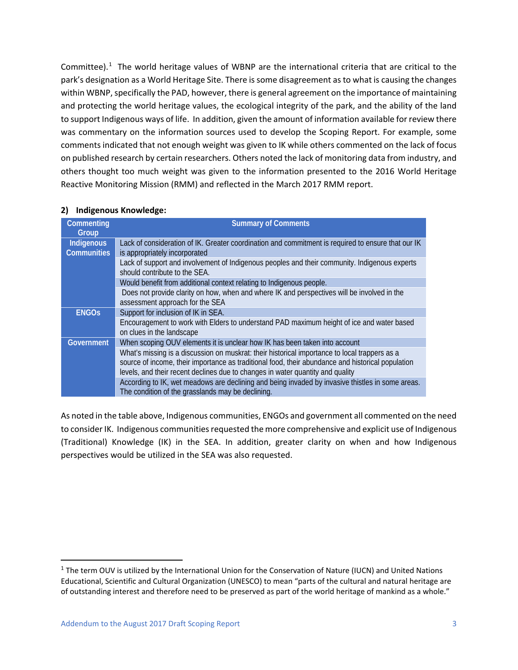Committee).<sup>[1](#page-3-0)</sup> The world heritage values of WBNP are the international criteria that are critical to the park's designation as a World Heritage Site. There is some disagreement as to what is causing the changes within WBNP, specifically the PAD, however, there is general agreement on the importance of maintaining and protecting the world heritage values, the ecological integrity of the park, and the ability of the land to support Indigenous ways of life. In addition, given the amount of information available for review there was commentary on the information sources used to develop the Scoping Report. For example, some comments indicated that not enough weight was given to IK while others commented on the lack of focus on published research by certain researchers. Others noted the lack of monitoring data from industry, and others thought too much weight was given to the information presented to the 2016 World Heritage Reactive Monitoring Mission (RMM) and reflected in the March 2017 RMM report.

| Commenting<br>Group | <b>Summary of Comments</b>                                                                                                                                                                                                                                                           |
|---------------------|--------------------------------------------------------------------------------------------------------------------------------------------------------------------------------------------------------------------------------------------------------------------------------------|
| Indigenous          | Lack of consideration of IK. Greater coordination and commitment is required to ensure that our IK                                                                                                                                                                                   |
| <b>Communities</b>  | is appropriately incorporated                                                                                                                                                                                                                                                        |
|                     | Lack of support and involvement of Indigenous peoples and their community. Indigenous experts<br>should contribute to the SEA.                                                                                                                                                       |
|                     | Would benefit from additional context relating to Indigenous people.                                                                                                                                                                                                                 |
|                     | Does not provide clarity on how, when and where IK and perspectives will be involved in the<br>assessment approach for the SEA                                                                                                                                                       |
| <b>ENGOS</b>        | Support for inclusion of IK in SEA.                                                                                                                                                                                                                                                  |
|                     | Encouragement to work with Elders to understand PAD maximum height of ice and water based<br>on clues in the landscape                                                                                                                                                               |
| <b>Government</b>   | When scoping OUV elements it is unclear how IK has been taken into account                                                                                                                                                                                                           |
|                     | What's missing is a discussion on muskrat: their historical importance to local trappers as a<br>source of income, their importance as traditional food, their abundance and historical population<br>levels, and their recent declines due to changes in water quantity and quality |
|                     | According to IK, wet meadows are declining and being invaded by invasive thistles in some areas.<br>The condition of the grasslands may be declining.                                                                                                                                |

#### **2) Indigenous Knowledge:**

As noted in the table above, Indigenous communities, ENGOs and government all commented on the need to consider IK. Indigenous communities requested the more comprehensive and explicit use of Indigenous (Traditional) Knowledge (IK) in the SEA. In addition, greater clarity on when and how Indigenous perspectives would be utilized in the SEA was also requested.

<span id="page-3-0"></span><sup>&</sup>lt;sup>1</sup> The term OUV is utilized by the International Union for the Conservation of Nature (IUCN) and United Nations Educational, Scientific and Cultural Organization (UNESCO) to mean "parts of the cultural and natural heritage are of outstanding interest and therefore need to be preserved as part of the world heritage of mankind as a whole."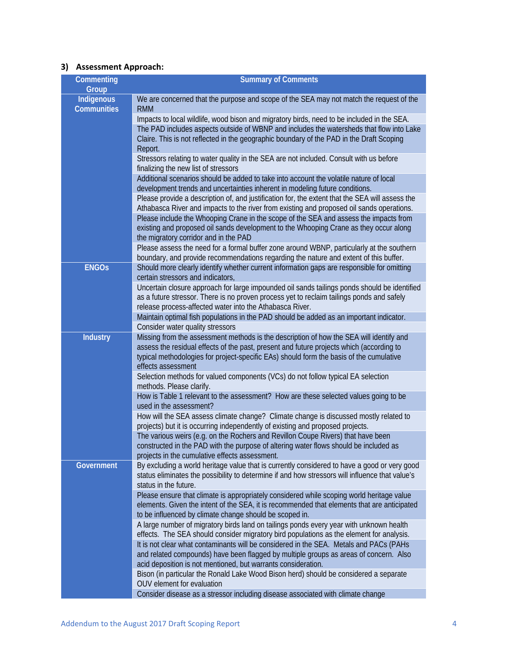# **3) Assessment Approach:**

| Commenting                              | <b>Summary of Comments</b>                                                                                                                                                                                |  |  |
|-----------------------------------------|-----------------------------------------------------------------------------------------------------------------------------------------------------------------------------------------------------------|--|--|
| Group                                   |                                                                                                                                                                                                           |  |  |
| <b>Indigenous</b><br><b>Communities</b> | We are concerned that the purpose and scope of the SEA may not match the request of the<br><b>RMM</b>                                                                                                     |  |  |
|                                         | Impacts to local wildlife, wood bison and migratory birds, need to be included in the SEA.                                                                                                                |  |  |
|                                         | The PAD includes aspects outside of WBNP and includes the watersheds that flow into Lake                                                                                                                  |  |  |
|                                         | Claire. This is not reflected in the geographic boundary of the PAD in the Draft Scoping<br>Report.                                                                                                       |  |  |
|                                         | Stressors relating to water quality in the SEA are not included. Consult with us before<br>finalizing the new list of stressors                                                                           |  |  |
|                                         | Additional scenarios should be added to take into account the volatile nature of local<br>development trends and uncertainties inherent in modeling future conditions.                                    |  |  |
|                                         | Please provide a description of, and justification for, the extent that the SEA will assess the<br>Athabasca River and impacts to the river from existing and proposed oil sands operations.              |  |  |
|                                         | Please include the Whooping Crane in the scope of the SEA and assess the impacts from                                                                                                                     |  |  |
|                                         | existing and proposed oil sands development to the Whooping Crane as they occur along<br>the migratory corridor and in the PAD                                                                            |  |  |
|                                         | Please assess the need for a formal buffer zone around WBNP, particularly at the southern<br>boundary, and provide recommendations regarding the nature and extent of this buffer.                        |  |  |
| <b>ENGOS</b>                            | Should more clearly identify whether current information gaps are responsible for omitting<br>certain stressors and indicators,                                                                           |  |  |
|                                         | Uncertain closure approach for large impounded oil sands tailings ponds should be identified                                                                                                              |  |  |
|                                         | as a future stressor. There is no proven process yet to reclaim tailings ponds and safely                                                                                                                 |  |  |
|                                         | release process-affected water into the Athabasca River.                                                                                                                                                  |  |  |
|                                         | Maintain optimal fish populations in the PAD should be added as an important indicator.                                                                                                                   |  |  |
|                                         | Consider water quality stressors                                                                                                                                                                          |  |  |
| <b>Industry</b>                         | Missing from the assessment methods is the description of how the SEA will identify and                                                                                                                   |  |  |
|                                         | assess the residual effects of the past, present and future projects which (according to<br>typical methodologies for project-specific EAs) should form the basis of the cumulative<br>effects assessment |  |  |
|                                         | Selection methods for valued components (VCs) do not follow typical EA selection<br>methods. Please clarify.                                                                                              |  |  |
|                                         | How is Table 1 relevant to the assessment? How are these selected values going to be<br>used in the assessment?                                                                                           |  |  |
|                                         | How will the SEA assess climate change? Climate change is discussed mostly related to<br>projects) but it is occurring independently of existing and proposed projects.                                   |  |  |
|                                         | The various weirs (e.g. on the Rochers and Revillon Coupe Rivers) that have been                                                                                                                          |  |  |
|                                         | constructed in the PAD with the purpose of altering water flows should be included as<br>projects in the cumulative effects assessment.                                                                   |  |  |
| Government                              | By excluding a world heritage value that is currently considered to have a good or very good                                                                                                              |  |  |
|                                         | status eliminates the possibility to determine if and how stressors will influence that value's<br>status in the future.                                                                                  |  |  |
|                                         | Please ensure that climate is appropriately considered while scoping world heritage value                                                                                                                 |  |  |
|                                         | elements. Given the intent of the SEA, it is recommended that elements that are anticipated<br>to be influenced by climate change should be scoped in.                                                    |  |  |
|                                         | A large number of migratory birds land on tailings ponds every year with unknown health                                                                                                                   |  |  |
|                                         | effects. The SEA should consider migratory bird populations as the element for analysis.                                                                                                                  |  |  |
|                                         | It is not clear what contaminants will be considered in the SEA. Metals and PACs (PAHs                                                                                                                    |  |  |
|                                         | and related compounds) have been flagged by multiple groups as areas of concern. Also<br>acid deposition is not mentioned, but warrants consideration.                                                    |  |  |
|                                         | Bison (in particular the Ronald Lake Wood Bison herd) should be considered a separate                                                                                                                     |  |  |
|                                         | OUV element for evaluation                                                                                                                                                                                |  |  |
|                                         | Consider disease as a stressor including disease associated with climate change                                                                                                                           |  |  |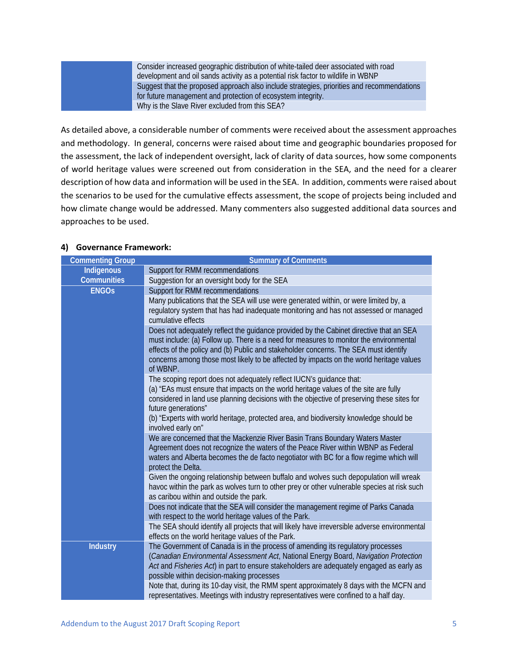Consider increased geographic distribution of white-tailed deer associated with road development and oil sands activity as a potential risk factor to wildlife in WBNP Suggest that the proposed approach also include strategies, priorities and recommendations for future management and protection of ecosystem integrity. Why is the Slave River excluded from this SEA?

As detailed above, a considerable number of comments were received about the assessment approaches and methodology. In general, concerns were raised about time and geographic boundaries proposed for the assessment, the lack of independent oversight, lack of clarity of data sources, how some components of world heritage values were screened out from consideration in the SEA, and the need for a clearer description of how data and information will be used in the SEA. In addition, comments were raised about the scenarios to be used for the cumulative effects assessment, the scope of projects being included and how climate change would be addressed. Many commenters also suggested additional data sources and approaches to be used.

#### **Commenting Group Commenting Group Summary of Comments Indigenous Communities** Support for RMM recommendations Suggestion for an oversight body for the SEA **ENGOs** Support for RMM recommendations Many publications that the SEA will use were generated within, or were limited by, a regulatory system that has had inadequate monitoring and has not assessed or managed cumulative effects Does not adequately reflect the guidance provided by the Cabinet directive that an SEA must include: (a) Follow up. There is a need for measures to monitor the environmental effects of the policy and (b) Public and stakeholder concerns. The SEA must identify concerns among those most likely to be affected by impacts on the world heritage values of WBNP. The scoping report does not adequately reflect IUCN's guidance that: (a) "EAs must ensure that impacts on the world heritage values of the site are fully considered in land use planning decisions with the objective of preserving these sites for future generations" (b) "Experts with world heritage, protected area, and biodiversity knowledge should be involved early on" We are concerned that the Mackenzie River Basin Trans Boundary Waters Master Agreement does not recognize the waters of the Peace River within WBNP as Federal waters and Alberta becomes the de facto negotiator with BC for a flow regime which will protect the Delta. Given the ongoing relationship between buffalo and wolves such depopulation will wreak havoc within the park as wolves turn to other prey or other vulnerable species at risk such as caribou within and outside the park. Does not indicate that the SEA will consider the management regime of Parks Canada with respect to the world heritage values of the Park. The SEA should identify all projects that will likely have irreversible adverse environmental effects on the world heritage values of the Park. **Industry** The Government of Canada is in the process of amending its regulatory processes (*Canadian Environmental Assessment Act*, National Energy Board, *Navigation Protection Act* and *Fisheries Act*) in part to ensure stakeholders are adequately engaged as early as possible within decision-making processes Note that, during its 10-day visit, the RMM spent approximately 8 days with the MCFN and representatives. Meetings with industry representatives were confined to a half day.

#### **4) Governance Framework:**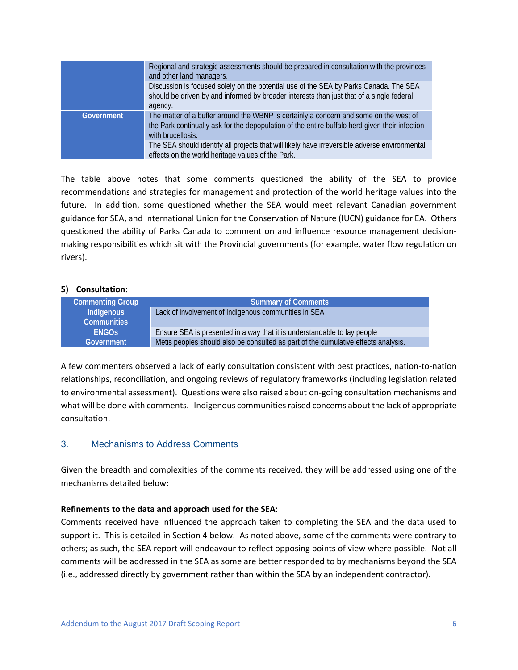|            | Regional and strategic assessments should be prepared in consultation with the provinces<br>and other land managers.                                                                                         |
|------------|--------------------------------------------------------------------------------------------------------------------------------------------------------------------------------------------------------------|
|            | Discussion is focused solely on the potential use of the SEA by Parks Canada. The SEA<br>should be driven by and informed by broader interests than just that of a single federal                            |
|            | agency.                                                                                                                                                                                                      |
| Government | The matter of a buffer around the WBNP is certainly a concern and some on the west of<br>the Park continually ask for the depopulation of the entire buffalo herd given their infection<br>with brucellosis. |
|            | The SEA should identify all projects that will likely have irreversible adverse environmental<br>effects on the world heritage values of the Park.                                                           |

The table above notes that some comments questioned the ability of the SEA to provide recommendations and strategies for management and protection of the world heritage values into the future. In addition, some questioned whether the SEA would meet relevant Canadian government guidance for SEA, and International Union for the Conservation of Nature (IUCN) guidance for EA. Others questioned the ability of Parks Canada to comment on and influence resource management decisionmaking responsibilities which sit with the Provincial governments (for example, water flow regulation on rivers).

#### **5) Consultation:**

| <b>Commenting Group</b> | <b>Summary of Comments</b>                                                         |
|-------------------------|------------------------------------------------------------------------------------|
| Indigenous              | Lack of involvement of Indigenous communities in SEA                               |
| <b>Communities</b>      |                                                                                    |
| <b>FNGOS</b>            | Ensure SEA is presented in a way that it is understandable to lay people           |
| Government              | Metis peoples should also be consulted as part of the cumulative effects analysis. |

A few commenters observed a lack of early consultation consistent with best practices, nation-to-nation relationships, reconciliation, and ongoing reviews of regulatory frameworks (including legislation related to environmental assessment). Questions were also raised about on-going consultation mechanisms and what will be done with comments. Indigenous communities raised concerns about the lack of appropriate consultation.

# 3. Mechanisms to Address Comments

Given the breadth and complexities of the comments received, they will be addressed using one of the mechanisms detailed below:

#### **Refinements to the data and approach used for the SEA:**

Comments received have influenced the approach taken to completing the SEA and the data used to support it. This is detailed in Section 4 below. As noted above, some of the comments were contrary to others; as such, the SEA report will endeavour to reflect opposing points of view where possible. Not all comments will be addressed in the SEA as some are better responded to by mechanisms beyond the SEA (i.e., addressed directly by government rather than within the SEA by an independent contractor).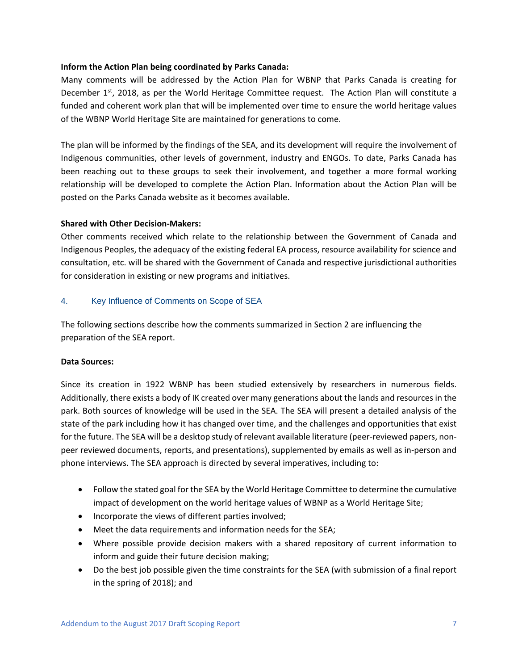#### **Inform the Action Plan being coordinated by Parks Canada:**

Many comments will be addressed by the Action Plan for WBNP that Parks Canada is creating for December 1<sup>st</sup>, 2018, as per the World Heritage Committee request. The Action Plan will constitute a funded and coherent work plan that will be implemented over time to ensure the world heritage values of the WBNP World Heritage Site are maintained for generations to come.

The plan will be informed by the findings of the SEA, and its development will require the involvement of Indigenous communities, other levels of government, industry and ENGOs. To date, Parks Canada has been reaching out to these groups to seek their involvement, and together a more formal working relationship will be developed to complete the Action Plan. Information about the Action Plan will be posted on the Parks Canada website as it becomes available.

#### **Shared with Other Decision-Makers:**

Other comments received which relate to the relationship between the Government of Canada and Indigenous Peoples, the adequacy of the existing federal EA process, resource availability for science and consultation, etc. will be shared with the Government of Canada and respective jurisdictional authorities for consideration in existing or new programs and initiatives.

# 4. Key Influence of Comments on Scope of SEA

The following sections describe how the comments summarized in Section 2 are influencing the preparation of the SEA report.

#### **Data Sources:**

Since its creation in 1922 WBNP has been studied extensively by researchers in numerous fields. Additionally, there exists a body of IK created over many generations about the lands and resources in the park. Both sources of knowledge will be used in the SEA. The SEA will present a detailed analysis of the state of the park including how it has changed over time, and the challenges and opportunities that exist for the future. The SEA will be a desktop study of relevant available literature (peer-reviewed papers, nonpeer reviewed documents, reports, and presentations), supplemented by emails as well as in-person and phone interviews. The SEA approach is directed by several imperatives, including to:

- Follow the stated goal for the SEA by the World Heritage Committee to determine the cumulative impact of development on the world heritage values of WBNP as a World Heritage Site;
- Incorporate the views of different parties involved;
- Meet the data requirements and information needs for the SEA;
- Where possible provide decision makers with a shared repository of current information to inform and guide their future decision making;
- Do the best job possible given the time constraints for the SEA (with submission of a final report in the spring of 2018); and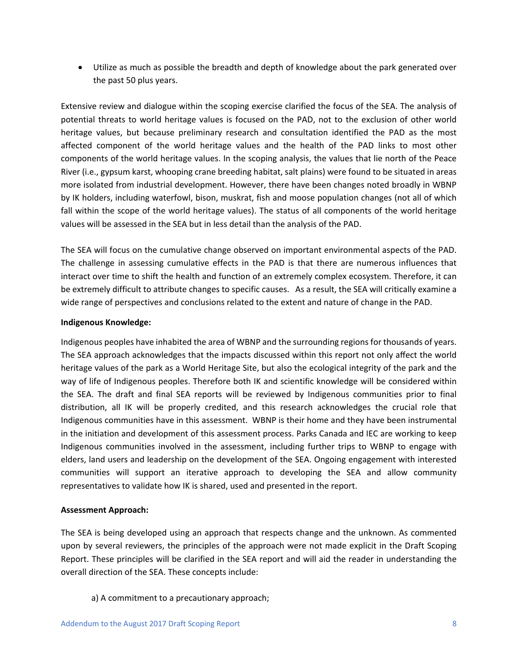• Utilize as much as possible the breadth and depth of knowledge about the park generated over the past 50 plus years.

Extensive review and dialogue within the scoping exercise clarified the focus of the SEA. The analysis of potential threats to world heritage values is focused on the PAD, not to the exclusion of other world heritage values, but because preliminary research and consultation identified the PAD as the most affected component of the world heritage values and the health of the PAD links to most other components of the world heritage values. In the scoping analysis, the values that lie north of the Peace River (i.e., gypsum karst, whooping crane breeding habitat, salt plains) were found to be situated in areas more isolated from industrial development. However, there have been changes noted broadly in WBNP by IK holders, including waterfowl, bison, muskrat, fish and moose population changes (not all of which fall within the scope of the world heritage values). The status of all components of the world heritage values will be assessed in the SEA but in less detail than the analysis of the PAD.

The SEA will focus on the cumulative change observed on important environmental aspects of the PAD. The challenge in assessing cumulative effects in the PAD is that there are numerous influences that interact over time to shift the health and function of an extremely complex ecosystem. Therefore, it can be extremely difficult to attribute changes to specific causes. As a result, the SEA will critically examine a wide range of perspectives and conclusions related to the extent and nature of change in the PAD.

# **Indigenous Knowledge:**

Indigenous peoples have inhabited the area of WBNP and the surrounding regions for thousands of years. The SEA approach acknowledges that the impacts discussed within this report not only affect the world heritage values of the park as a World Heritage Site, but also the ecological integrity of the park and the way of life of Indigenous peoples. Therefore both IK and scientific knowledge will be considered within the SEA. The draft and final SEA reports will be reviewed by Indigenous communities prior to final distribution, all IK will be properly credited, and this research acknowledges the crucial role that Indigenous communities have in this assessment. WBNP is their home and they have been instrumental in the initiation and development of this assessment process. Parks Canada and IEC are working to keep Indigenous communities involved in the assessment, including further trips to WBNP to engage with elders, land users and leadership on the development of the SEA. Ongoing engagement with interested communities will support an iterative approach to developing the SEA and allow community representatives to validate how IK is shared, used and presented in the report.

#### **Assessment Approach:**

The SEA is being developed using an approach that respects change and the unknown. As commented upon by several reviewers, the principles of the approach were not made explicit in the Draft Scoping Report. These principles will be clarified in the SEA report and will aid the reader in understanding the overall direction of the SEA. These concepts include:

a) A commitment to a precautionary approach;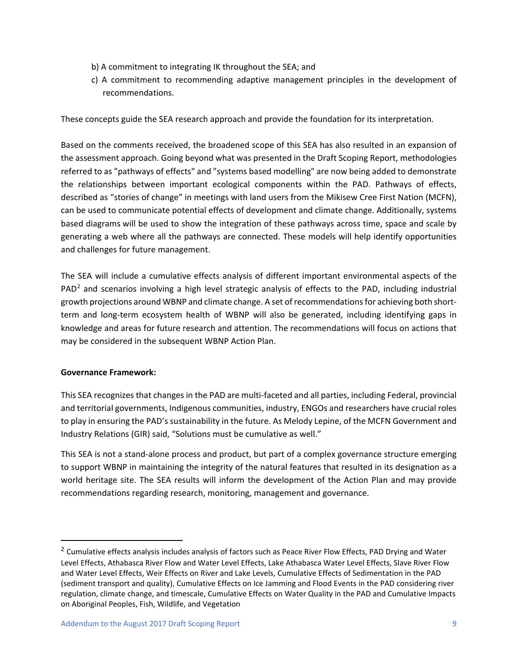- b) A commitment to integrating IK throughout the SEA; and
- c) A commitment to recommending adaptive management principles in the development of recommendations.

These concepts guide the SEA research approach and provide the foundation for its interpretation.

Based on the comments received, the broadened scope of this SEA has also resulted in an expansion of the assessment approach. Going beyond what was presented in the Draft Scoping Report, methodologies referred to as "pathways of effects" and "systems based modelling" are now being added to demonstrate the relationships between important ecological components within the PAD. Pathways of effects, described as "stories of change" in meetings with land users from the Mikisew Cree First Nation (MCFN), can be used to communicate potential effects of development and climate change. Additionally, systems based diagrams will be used to show the integration of these pathways across time, space and scale by generating a web where all the pathways are connected. These models will help identify opportunities and challenges for future management.

The SEA will include a cumulative effects analysis of different important environmental aspects of the PAD<sup>[2](#page-9-0)</sup> and scenarios involving a high level strategic analysis of effects to the PAD, including industrial growth projections around WBNP and climate change. A set of recommendations for achieving both shortterm and long-term ecosystem health of WBNP will also be generated, including identifying gaps in knowledge and areas for future research and attention. The recommendations will focus on actions that may be considered in the subsequent WBNP Action Plan.

#### **Governance Framework:**

This SEA recognizes that changes in the PAD are multi-faceted and all parties, including Federal, provincial and territorial governments, Indigenous communities, industry, ENGOs and researchers have crucial roles to play in ensuring the PAD's sustainability in the future. As Melody Lepine, of the MCFN Government and Industry Relations (GIR) said, "Solutions must be cumulative as well."

This SEA is not a stand-alone process and product, but part of a complex governance structure emerging to support WBNP in maintaining the integrity of the natural features that resulted in its designation as a world heritage site. The SEA results will inform the development of the Action Plan and may provide recommendations regarding research, monitoring, management and governance.

<span id="page-9-0"></span><sup>&</sup>lt;sup>2</sup> Cumulative effects analysis includes analysis of factors such as Peace River Flow Effects, PAD Drying and Water Level Effects, Athabasca River Flow and Water Level Effects, Lake Athabasca Water Level Effects, Slave River Flow and Water Level Effects, Weir Effects on River and Lake Levels, Cumulative Effects of Sedimentation in the PAD (sediment transport and quality), Cumulative Effects on Ice Jamming and Flood Events in the PAD considering river regulation, climate change, and timescale, Cumulative Effects on Water Quality in the PAD and Cumulative Impacts on Aboriginal Peoples, Fish, Wildlife, and Vegetation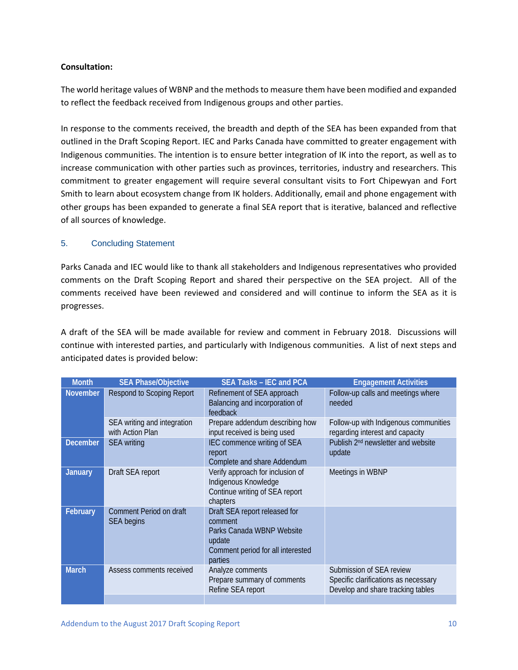# **Consultation:**

The world heritage values of WBNP and the methods to measure them have been modified and expanded to reflect the feedback received from Indigenous groups and other parties.

In response to the comments received, the breadth and depth of the SEA has been expanded from that outlined in the Draft Scoping Report. IEC and Parks Canada have committed to greater engagement with Indigenous communities. The intention is to ensure better integration of IK into the report, as well as to increase communication with other parties such as provinces, territories, industry and researchers. This commitment to greater engagement will require several consultant visits to Fort Chipewyan and Fort Smith to learn about ecosystem change from IK holders. Additionally, email and phone engagement with other groups has been expanded to generate a final SEA report that is iterative, balanced and reflective of all sources of knowledge.

# 5. Concluding Statement

Parks Canada and IEC would like to thank all stakeholders and Indigenous representatives who provided comments on the Draft Scoping Report and shared their perspective on the SEA project. All of the comments received have been reviewed and considered and will continue to inform the SEA as it is progresses.

A draft of the SEA will be made available for review and comment in February 2018. Discussions will continue with interested parties, and particularly with Indigenous communities. A list of next steps and anticipated dates is provided below:

| <b>Month</b>    | <b>SEA Phase/Objective</b>                      | <b>SEA Tasks - IEC and PCA</b>                                                                                                  | <b>Engagement Activities</b>                                                                          |
|-----------------|-------------------------------------------------|---------------------------------------------------------------------------------------------------------------------------------|-------------------------------------------------------------------------------------------------------|
| <b>November</b> | <b>Respond to Scoping Report</b>                | Refinement of SEA approach<br>Balancing and incorporation of<br>feedback                                                        | Follow-up calls and meetings where<br>needed                                                          |
|                 | SEA writing and integration<br>with Action Plan | Prepare addendum describing how<br>input received is being used                                                                 | Follow-up with Indigenous communities<br>regarding interest and capacity                              |
| <b>December</b> | <b>SEA</b> writing                              | IEC commence writing of SEA<br>report<br>Complete and share Addendum                                                            | Publish 2 <sup>nd</sup> newsletter and website<br>update                                              |
| <b>January</b>  | Draft SEA report                                | Verify approach for inclusion of<br>Indigenous Knowledge<br>Continue writing of SEA report<br>chapters                          | Meetings in WBNP                                                                                      |
| February        | Comment Period on draft<br><b>SEA</b> begins    | Draft SEA report released for<br>comment<br>Parks Canada WBNP Website<br>update<br>Comment period for all interested<br>parties |                                                                                                       |
| <b>March</b>    | Assess comments received                        | Analyze comments<br>Prepare summary of comments<br>Refine SEA report                                                            | Submission of SEA review<br>Specific clarifications as necessary<br>Develop and share tracking tables |
|                 |                                                 |                                                                                                                                 |                                                                                                       |